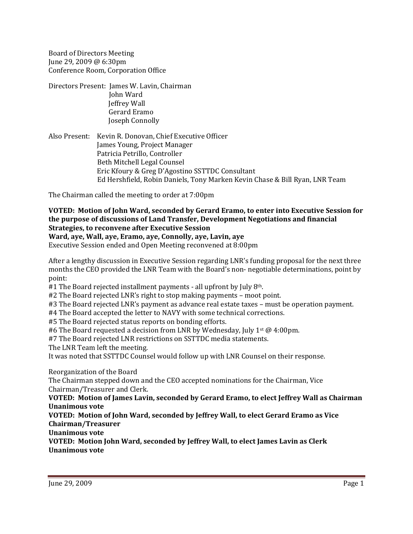Board of Directors Meeting June 29, 2009 @ 6:30pm Conference Room, Corporation Office

Directors Present: James W. Lavin, Chairman John Ward Jeffrey Wall Gerard Eramo Joseph Connolly

Also Present: Kevin R. Donovan, Chief Executive Officer James Young, Project Manager Patricia Petrillo, Controller Beth Mitchell Legal Counsel Eric Kfoury & Greg D'Agostino SSTTDC Consultant Ed Hershfield, Robin Daniels, Tony Marken Kevin Chase & Bill Ryan, LNR Team

The Chairman called the meeting to order at 7:00pm

**VOTED: Motion of John Ward, seconded by Gerard Eramo, to enter into Executive Session for the purpose of discussions of Land Transfer, Development Negotiations and financial Strategies, to reconvene after Executive Session**

**Ward, aye, Wall, aye, Eramo, aye, Connolly, aye, Lavin, aye**

Executive Session ended and Open Meeting reconvened at 8:00pm

After a lengthy discussion in Executive Session regarding LNR's funding proposal for the next three months the CEO provided the LNR Team with the Board's non- negotiable determinations, point by point:

#1 The Board rejected installment payments - all upfront by July 8<sup>th</sup>.

#2 The Board rejected LNR's right to stop making payments – moot point.

#3 The Board rejected LNR's payment as advance real estate taxes – must be operation payment.

#4 The Board accepted the letter to NAVY with some technical corrections.

#5 The Board rejected status reports on bonding efforts.

#6 The Board requested a decision from LNR by Wednesday, July 1<sup>st</sup> @ 4:00pm.

#7 The Board rejected LNR restrictions on SSTTDC media statements.

The LNR Team left the meeting.

It was noted that SSTTDC Counsel would follow up with LNR Counsel on their response.

## Reorganization of the Board

The Chairman stepped down and the CEO accepted nominations for the Chairman, Vice Chairman/Treasurer and Clerk.

**VOTED: Motion of James Lavin, seconded by Gerard Eramo, to elect Jeffrey Wall as Chairman Unanimous vote**

## **VOTED: Motion of John Ward, seconded by Jeffrey Wall, to elect Gerard Eramo as Vice Chairman/Treasurer**

**Unanimous vote**

**VOTED: Motion John Ward, seconded by Jeffrey Wall, to elect James Lavin as Clerk Unanimous vote**